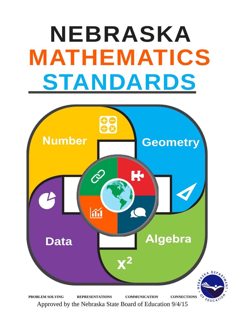# **NEBRASKA MATHEMATICS STANDARDS**



Approved by the Nebraska State Board of Education 9/4/15 Approved by the Nebraska State Board of Education 9/4/15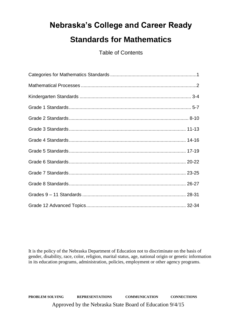# **Nebraska's College and Career Ready Standards for Mathematics**

Table of Contents

It is the policy of the Nebraska Department of Education not to discriminate on the basis of gender, disability, race, color, religion, marital status, age, national origin or genetic information in its education programs, administration, policies, employment or other agency programs.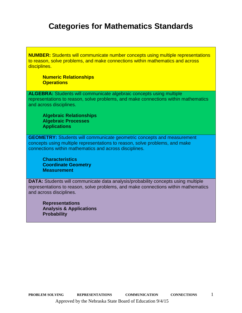# **Categories for Mathematics Standards**

**NUMBER:** Students will communicate number concepts using multiple representations to reason, solve problems, and make connections within mathematics and across disciplines.

## **Numeric Relationships Operations**

**ALGEBRA:** Students will communicate algebraic concepts using multiple representations to reason, solve problems, and make connections within mathematics and across disciplines.

**Algebraic Relationships Algebraic Processes Applications**

**GEOMETRY:** Students will communicate geometric concepts and measurement concepts using multiple representations to reason, solve problems, and make connections within mathematics and across disciplines.

**Characteristics Coordinate Geometry Measurement**

**DATA:** Students will communicate data analysis/probability concepts using multiple representations to reason, solve problems, and make connections within mathematics and across disciplines.

**Representations Analysis & Applications Probability**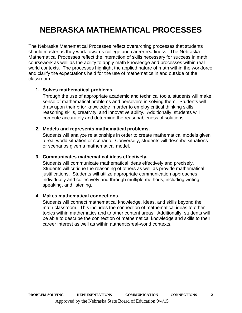# **NEBRASKA MATHEMATICAL PROCESSES**

The Nebraska Mathematical Processes reflect overarching processes that students should master as they work towards college and career readiness. The Nebraska Mathematical Processes reflect the interaction of skills necessary for success in math coursework as well as the ability to apply math knowledge and processes within realworld contexts. The processes highlight the applied nature of math within the workforce and clarify the expectations held for the use of mathematics in and outside of the classroom.

# **1. Solves mathematical problems.**

Through the use of appropriate academic and technical tools, students will make sense of mathematical problems and persevere in solving them. Students will draw upon their prior knowledge in order to employ critical thinking skills, reasoning skills, creativity, and innovative ability. Additionally, students will compute accurately and determine the reasonableness of solutions.

# **2. Models and represents mathematical problems.**

Students will analyze relationships in order to create mathematical models given a real-world situation or scenario. Conversely, students will describe situations or scenarios given a mathematical model.

# **3. Communicates mathematical ideas effectively.**

Students will communicate mathematical ideas effectively and precisely. Students will critique the reasoning of others as well as provide mathematical justifications. Students will utilize appropriate communication approaches individually and collectively and through multiple methods, including writing, speaking, and listening.

# **4. Makes mathematical connections.**

Students will connect mathematical knowledge, ideas, and skills beyond the math classroom. This includes the connection of mathematical ideas to other topics within mathematics and to other content areas. Additionally, students will be able to describe the connection of mathematical knowledge and skills to their career interest as well as within authentic/real-world contexts.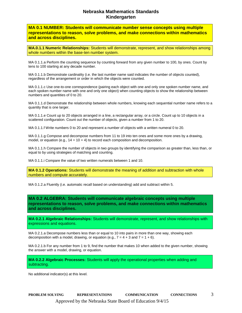## **Nebraska Mathematics Standards Kindergarten**

**MA 0.1 NUMBER: Students will communicate number sense concepts using multiple representations to reason, solve problems, and make connections within mathematics and across disciplines.**

**MA.0.1.1 Numeric Relationships:** Students will demonstrate, represent, and show relationships among whole numbers within the base-ten number system.

MA 0.1.1.a Perform the counting sequence by counting forward from any given number to 100, by ones. Count by tens to 100 starting at any decade number.

MA 0.1.1.b Demonstrate cardinality (i.e. the last number name said indicates the number of objects counted), regardless of the arrangement or order in which the objects were counted.

MA 0.1.1.c Use one-to-one correspondence (pairing each object with one and only one spoken number name, and each spoken number name with one and only one object) when counting objects to show the relationship between numbers and quantities of 0 to 20.

MA 0.1.1.d Demonstrate the relationship between whole numbers, knowing each sequential number name refers to a quantity that is one larger.

MA 0.1.1.e Count up to 20 objects arranged in a line, a rectangular array, or a circle. Count up to 10 objects in a scattered configuration. Count out the number of objects, given a number from 1 to 20.

MA 0.1.1.f Write numbers 0 to 20 and represent a number of objects with a written numeral 0 to 20.

MA 0.1.1.g Compose and decompose numbers from 11 to 19 into ten ones and some more ones by a drawing, model, or equation (e.g.,  $14 = 10 + 4$ ) to record each composition and decomposition.

MA 0.1.1.h Compare the number of objects in two groups by identifying the comparison as greater than, less than, or equal to by using strategies of matching and counting.

MA 0.1.1.i Compare the value of two written numerals between 1 and 10.

**MA 0.1.2 Operations:** Students will demonstrate the meaning of addition and subtraction with whole numbers and compute accurately.

MA 0.1.2.a Fluently (i.e. automatic recall based on understanding) add and subtract within 5.

**MA 0.2 ALGEBRA: Students will communicate algebraic concepts using multiple representations to reason, solve problems, and make connections within mathematics and across disciplines.**

**MA 0.2.1 Algebraic Relationships:** Students will demonstrate, represent, and show relationships with expressions and equations.

MA 0.2.1.a Decompose numbers less than or equal to 10 into pairs in more than one way, showing each decomposition with a model, drawing, or equation (e.g.,  $7 = 4 + 3$  and  $7 = 1 + 6$ ).

MA 0.2.1.b For any number from 1 to 9, find the number that makes 10 when added to the given number, showing the answer with a model, drawing, or equation.

**MA 0.2.2 Algebraic Processes:** Students will apply the operational properties when adding and subtracting.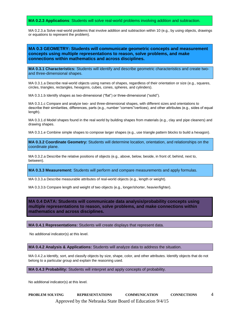**MA 0.2.3 Applications**: Students will solve real-world problems involving addition and subtraction.

MA 0.2.3.a Solve real-world problems that involve addition and subtraction within 10 (e.g., by using objects, drawings or equations to represent the problem).

#### **MA 0.3 GEOMETRY: Students will communicate geometric concepts and measurement concepts using multiple representations to reason, solve problems, and make connections within mathematics and across disciplines.**

**MA 0.3.1 Characteristics:** Students will identify and describe geometric characteristics and create twoand three-dimensional shapes.

MA 0.3.1.a Describe real-world objects using names of shapes, regardless of their orientation or size (e.g., squares, circles, triangles, rectangles, hexagons, cubes, cones, spheres, and cylinders).

MA 0.3.1.b Identify shapes as two-dimensional ("flat") or three-dimensional ("solid").

MA 0.3.1.c Compare and analyze two- and three-dimensional shapes, with different sizes and orientations to describe their similarities, differences, parts (e.g., number "corners"/vertices), and other attributes (e.g., sides of equal length).

MA 0.3.1.d Model shapes found in the real world by building shapes from materials (e.g., clay and pipe cleaners) and drawing shapes.

MA 0.3.1.e Combine simple shapes to compose larger shapes (e.g., use triangle pattern blocks to build a hexagon).

**MA 0.3.2 Coordinate Geometry:** Students will determine location, orientation, and relationships on the coordinate plane.

MA 0.3.2.a Describe the relative positions of objects (e.g., above, below, beside, in front of, behind, next to, between).

**MA 0.3.3 Measurement:** Students will perform and compare measurements and apply formulas.

MA 0.3.3.a Describe measurable attributes of real-world objects (e.g., length or weight).

MA 0.3.3.b Compare length and weight of two objects (e.g., longer/shorter, heavier/lighter).

**MA 0.4 DATA: Students will communicate data analysis/probability concepts using multiple representations to reason, solve problems, and make connections within mathematics and across disciplines.**

**MA 0.4.1 Representations:** Students will create displays that represent data.

No additional indicator(s) at this level.

**MA 0.4.2 Analysis & Applications:** Students will analyze data to address the situation.

MA 0.4.2.a Identify, sort, and classify objects by size, shape, color, and other attributes. Identify objects that do not belong to a particular group and explain the reasoning used.

**MA 0.4.3 Probability:** Students will interpret and apply concepts of probability.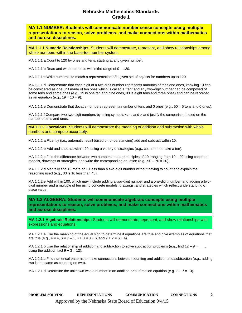**MA 1.1 NUMBER: Students will communicate number sense concepts using multiple representations to reason, solve problems, and make connections within mathematics and across disciplines.**

**MA.1.1.1 Numeric Relationships:** Students will demonstrate, represent, and show relationships among whole numbers within the base-ten number system.

MA 1.1.1.a Count to 120 by ones and tens, starting at any given number.

MA 1.1.1.b Read and write numerals within the range of  $0 - 120$ .

MA 1.1.1.c Write numerals to match a representation of a given set of objects for numbers up to 120.

MA 1.1.1.d Demonstrate that each digit of a two-digit number represents amounts of tens and ones, knowing 10 can be considered as one unit made of ten ones which is called a "ten" and any two-digit number can be composed of some tens and some ones (e.g., 19 is one ten and nine ones, 83 is eight tens and three ones) and can be recorded as an equation (e.g.,  $19 = 10 + 9$ ).

MA 1.1.1.e Demonstrate that decade numbers represent a number of tens and 0 ones (e.g., 50 = 5 tens and 0 ones).

MA 1.1.1.f Compare two two-digit numbers by using symbols  $\lt$ ,  $\equiv$ , and  $\gt$  and justify the comparison based on the number of tens and ones.

**MA 1.1.2 Operations:** Students will demonstrate the meaning of addition and subtraction with whole numbers and compute accurately.

MA 1.1.2.a Fluently (i.e., automatic recall based on understanding) add and subtract within 10.

MA 1.1.2.b Add and subtract within 20, using a variety of strategies (e.g., count on to make a ten).

MA 1.1.2.c Find the difference between two numbers that are multiples of 10, ranging from 10 – 90 using concrete models, drawings or strategies, and write the corresponding equation (e.g.,  $90 - 70 = 20$ ).

MA 1.1.2.d Mentally find 10 more or 10 less than a two-digit number without having to count and explain the reasoning used (e.g., 33 is 10 less than 43).

MA 1.1.2.e Add within 100, which may include adding a two-digit number and a one-digit number, and adding a twodigit number and a multiple of ten using concrete models, drawings, and strategies which reflect understanding of place value.

**MA 1.2 ALGEBRA: Students will communicate algebraic concepts using multiple representations to reason, solve problems, and make connections within mathematics and across disciplines.**

**MA 1.2.1 Algebraic Relationships:** Students will demonstrate, represent, and show relationships with expressions and equations.

MA 1.2.1.a Use the meaning of the equal sign to determine if equations are true and give examples of equations that are true (e.g.,  $4 = 4$ ,  $6 = 7 - 1$ ,  $6 + 3 = 3 + 6$ , and  $7 + 2 = 5 + 4$ ).

MA 1.2.1.b Use the relationship of addition and subtraction to solve subtraction problems (e.g., find  $12 - 9 = 1$ , using the addition fact  $9 + 3 = 12$ ).

MA 1.2.1.c Find numerical patterns to make connections between counting and addition and subtraction (e.g., adding two is the same as counting on two).

MA 1.2.1.d Determine the unknown whole number in an addition or subtraction equation (e.g.  $7 + ? = 13$ ).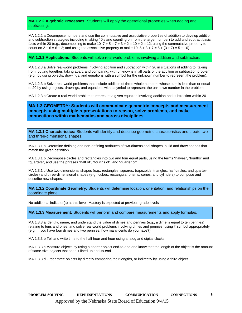**MA 1.2.2 Algebraic Processes:** Students will apply the operational properties when adding and subtracting.

MA 1.2.2.a Decompose numbers and use the commutative and associative properties of addition to develop addition and subtraction strategies including (making 10's and counting on from the larger number) to add and subtract basic facts within 20 (e.g., decomposing to make 10,  $7 + 5 = 7 + 3 + 2 = 10 + 2 = 12$ ; using the commutative property to count on  $2 + 6 = 6 + 2$ ; and using the associative property to make 10,  $5 + 3 + 7 = 5 + (3 + 7) = 5 + 10$ .

**MA 1.2.3 Applications**: Students will solve real-world problems involving addition and subtraction.

MA 1.2.3.a Solve real-world problems involving addition and subtraction within 20 in situations of adding to, taking from, putting together, taking apart, and comparing, with unknowns in all parts of the addition or subtraction problem (e.g., by using objects, drawings, and equations with a symbol for the unknown number to represent the problem).

MA 1.2.3.b Solve real-world problems that include addition of three whole numbers whose sum is less than or equal to 20 by using objects, drawings, and equations with a symbol to represent the unknown number in the problem.

MA 1.2.3.c Create a real-world problem to represent a given equation involving addition and subtraction within 20.

**MA 1.3 GEOMETRY: Students will communicate geometric concepts and measurement concepts using multiple representations to reason, solve problems, and make connections within mathematics and across disciplines.**

**MA 1.3.1 Characteristics:** Students will identify and describe geometric characteristics and create twoand three-dimensional shapes.

MA 1.3.1.a Determine defining and non-defining attributes of two-dimensional shapes; build and draw shapes that match the given definition.

MA 1.3.1.b Decompose circles and rectangles into two and four equal parts, using the terms "halves", "fourths" and "quarters", and use the phrases "half of", "fourths of", and "quarter of".

MA 1.3.1.c Use two-dimensional shapes (e.g., rectangles, squares, trapezoids, triangles, half-circles, and quartercircles) and three-dimensional shapes (e.g., cubes, rectangular prisms, cones, and cylinders) to compose and describe new shapes.

**MA 1.3.2 Coordinate Geometry:** Students will determine location, orientation, and relationships on the coordinate plane.

No additional indicator(s) at this level. Mastery is expected at previous grade levels.

**MA 1.3.3 Measurement:** Students will perform and compare measurements and apply formulas.

MA 1.3.3.a Identify, name, and understand the value of dimes and pennies (e.g., a dime is equal to ten pennies) relating to tens and ones, and solve real-world problems involving dimes and pennies, using  $\varphi$  symbol appropriately (e.g., If you have four dimes and two pennies, how many cents do you have?).

MA 1.3.3.b Tell and write time to the half hour and hour using analog and digital clocks.

MA 1.3.3.c Measure objects by using a shorter object end-to-end and know that the length of the object is the amount of same-size objects that span it lined up end-to-end.

MA 1.3.3.d Order three objects by directly comparing their lengths, or indirectly by using a third object.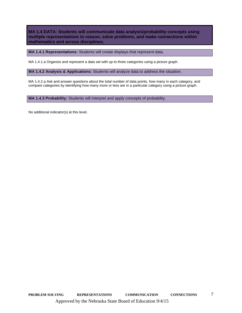**MA 1.4 DATA: Students will communicate data analysis/probability concepts using multiple representations to reason, solve problems, and make connections within mathematics and across disciplines.**

**MA 1.4.1 Representations:** Students will create displays that represent data.

MA 1.4.1.a Organize and represent a data set with up to three categories using a picture graph.

**MA 1.4.2 Analysis & Applications:** Students will analyze data to address the situation.

MA 1.4.2.a Ask and answer questions about the total number of data points, how many in each category, and compare categories by identifying how many more or less are in a particular category using a picture graph.

**MA 1.4.3 Probability:** Students will interpret and apply concepts of probability.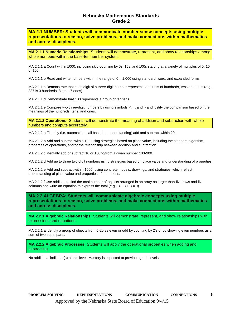**MA 2.1 NUMBER: Students will communicate number sense concepts using multiple representations to reason, solve problems, and make connections within mathematics and across disciplines.**

**MA.2.1.1 Numeric Relationships:** Students will demonstrate, represent, and show relationships among whole numbers within the base-ten number system.

MA 2.1.1.a Count within 1000, including skip-counting by 5s, 10s, and 100s starting at a variety of multiples of 5, 10 or 100.

MA 2.1.1.b Read and write numbers within the range of  $0 - 1,000$  using standard, word, and expanded forms.

MA 2.1.1.c Demonstrate that each digit of a three-digit number represents amounts of hundreds, tens and ones (e.g., 387 is 3 hundreds, 8 tens, 7 ones).

MA 2.1.1.d Demonstrate that 100 represents a group of ten tens.

MA 2.1.1.e Compare two three-digit numbers by using symbols  $\lt$ ,  $\equiv$ , and  $\gt$  and justify the comparison based on the meanings of the hundreds, tens, and ones.

**MA 2.1.2 Operations:** Students will demonstrate the meaning of addition and subtraction with whole numbers and compute accurately.

MA 2.1.2.a Fluently (i.e. automatic recall based on understanding) add and subtract within 20.

MA 2.1.2.b Add and subtract within 100 using strategies based on place value, including the standard algorithm, properties of operations, and/or the relationship between addition and subtraction.

MA 2.1.2.c Mentally add or subtract 10 or 100 to/from a given number 100-900.

MA 2.1.2.d Add up to three two-digit numbers using strategies based on place value and understanding of properties.

MA 2.1.2.e Add and subtract within 1000, using concrete models, drawings, and strategies, which reflect understanding of place value and properties of operations.

MA 2.1.2.f Use addition to find the total number of objects arranged in an array no larger than five rows and five columns and write an equation to express the total (e.g.,  $3 + 3 + 3 = 9$ ).

**MA 2.2 ALGEBRA: Students will communicate algebraic concepts using multiple representations to reason, solve problems, and make connections within mathematics and across disciplines.**

**MA 2.2.1 Algebraic Relationships:** Students will demonstrate, represent, and show relationships with expressions and equations.

MA 2.2.1.a Identify a group of objects from 0-20 as even or odd by counting by 2's or by showing even numbers as a sum of two equal parts.

**MA 2.2.2 Algebraic Processes:** Students will apply the operational properties when adding and subtracting.

No additional indicator(s) at this level. Mastery is expected at previous grade levels.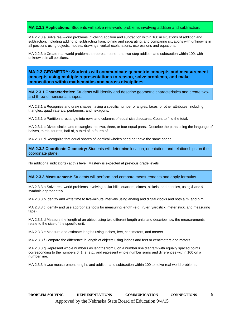#### **MA 2.2.3 Applications**: Students will solve real-world problems involving addition and subtraction.

MA 2.2.3.a Solve real-world problems involving addition and subtraction within 100 in situations of addition and subtraction, including adding to, subtracting from, joining and separating, and comparing situations with unknowns in all positions using objects, models, drawings, verbal explanations, expressions and equations.

MA 2.2.3.b Create real-world problems to represent one- and two-step addition and subtraction within 100, with unknowns in all positions.

**MA 2.3 GEOMETRY: Students will communicate geometric concepts and measurement concepts using multiple representations to reason, solve problems, and make connections within mathematics and across disciplines.**

**MA 2.3.1 Characteristics:** Students will identify and describe geometric characteristics and create twoand three-dimensional shapes.

MA 2.3.1.a Recognize and draw shapes having a specific number of angles, faces, or other attributes, including triangles, quadrilaterals, pentagons, and hexagons.

MA 2.3.1.b Partition a rectangle into rows and columns of equal sized squares. Count to find the total.

MA 2.3.1.c Divide circles and rectangles into two, three, or four equal parts. Describe the parts using the language of halves, thirds, fourths, half of, a third of, a fourth of.

MA 2.3.1.d Recognize that equal shares of identical wholes need not have the same shape.

**MA 2.3.2 Coordinate Geometry:** Students will determine location, orientation, and relationships on the coordinate plane.

No additional indicator(s) at this level. Mastery is expected at previous grade levels.

**MA 2.3.3 Measurement:** Students will perform and compare measurements and apply formulas.

MA 2.3.3.a Solve real-world problems involving dollar bills, quarters, dimes, nickels, and pennies, using \$ and  $\varphi$ symbols appropriately.

MA 2.3.3.b Identify and write time to five-minute intervals using analog and digital clocks and both a.m. and p.m.

MA 2.3.3.c Identify and use appropriate tools for measuring length (e.g., ruler, yardstick, meter stick, and measuring tape).

MA 2.3.3.d Measure the length of an object using two different length units and describe how the measurements relate to the size of the specific unit.

MA 2.3.3.e Measure and estimate lengths using inches, feet, centimeters, and meters.

MA 2.3.3.f Compare the difference in length of objects using inches and feet or centimeters and meters.

MA 2.3.3.g Represent whole numbers as lengths from 0 on a number line diagram with equally spaced points corresponding to the numbers 0, 1, 2, etc., and represent whole number sums and differences within 100 on a number line.

MA 2.3.3.h Use measurement lengths and addition and subtraction within 100 to solve real-world problems.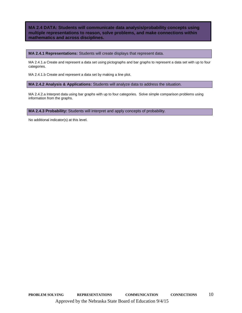**MA 2.4 DATA: Students will communicate data analysis/probability concepts using multiple representations to reason, solve problems, and make connections within mathematics and across disciplines.**

**MA 2.4.1 Representations:** Students will create displays that represent data.

MA 2.4.1.a Create and represent a data set using pictographs and bar graphs to represent a data set with up to four categories.

MA 2.4.1.b Create and represent a data set by making a line plot.

**MA 2.4.2 Analysis & Applications:** Students will analyze data to address the situation.

MA 2.4.2.a Interpret data using bar graphs with up to four categories. Solve simple comparison problems using information from the graphs.

**MA 2.4.3 Probability:** Students will interpret and apply concepts of probability.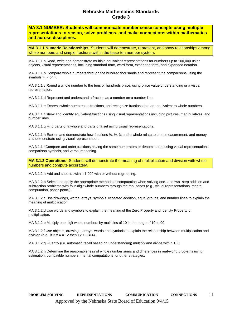**MA 3.1 NUMBER: Students will communicate number sense concepts using multiple representations to reason, solve problems, and make connections within mathematics and across disciplines.**

**MA.3.1.1 Numeric Relationships:** Students will demonstrate, represent, and show relationships among whole numbers and simple fractions within the base-ten number system.

MA 3.1.1.a Read, write and demonstrate multiple equivalent representations for numbers up to 100,000 using objects, visual representations, including standard form, word form, expanded form, and expanded notation.

MA 3.1.1.b Compare whole numbers through the hundred thousands and represent the comparisons using the symbols  $> . <$  or  $= .$ 

MA 3.1.1.c Round a whole number to the tens or hundreds place, using place value understanding or a visual representation.

MA 3.1.1.d Represent and understand a fraction as a number on a number line.

MA 3.1.1.e Express whole numbers as fractions, and recognize fractions that are equivalent to whole numbers.

MA 3.1.1.f Show and identify equivalent fractions using visual representations including pictures, manipulatives, and number lines.

MA 3.1.1.g Find parts of a whole and parts of a set using visual representations.

MA 3.1.1.h Explain and demonstrate how fractions ¼, ½, ¾ and a whole relate to time, measurement, and money, and demonstrate using visual representation.

MA 3.1.1.i Compare and order fractions having the same numerators or denominators using visual representations, comparison symbols, and verbal reasoning.

**MA 3.1.2 Operations:** Students will demonstrate the meaning of multiplication and division with whole numbers and compute accurately.

MA 3.1.2.a Add and subtract within 1,000 with or without regrouping.

MA 3.1.2.b Select and apply the appropriate methods of computation when solving one- and two- step addition and subtraction problems with four-digit whole numbers through the thousands (e.g., visual representations, mental computation, paper-pencil).

MA 3.1.2.c Use drawings, words, arrays, symbols, repeated addition, equal groups, and number lines to explain the meaning of multiplication.

MA 3.1.2.d Use words and symbols to explain the meaning of the Zero Property and Identity Property of multiplication.

MA 3.1.2.e Multiply one digit whole numbers by multiples of 10 in the range of 10 to 90.

MA 3.1.2.f Use objects, drawings, arrays, words and symbols to explain the relationship between multiplication and division (e.g., if  $3 \times 4 = 12$  then  $12 \div 3 = 4$ ).

MA 3.1.2.g Fluently (i.e. automatic recall based on understanding) multiply and divide within 100.

MA 3.1.2.h Determine the reasonableness of whole number sums and differences in real-world problems using estimation, compatible numbers, mental computations, or other strategies.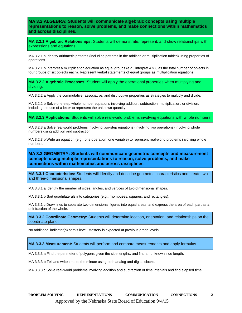**MA 3.2 ALGEBRA: Students will communicate algebraic concepts using multiple representations to reason, solve problems, and make connections within mathematics and across disciplines.**

**MA 3.2.1 Algebraic Relationships:** Students will demonstrate, represent, and show relationships with expressions and equations.

MA 3.2.1.a Identify arithmetic patterns (including patterns in the addition or multiplication tables) using properties of operations.

MA 3.2.1.b Interpret a multiplication equation as equal groups (e.g., interpret  $4 \times 6$  as the total number of objects in four groups of six objects each). Represent verbal statements of equal groups as multiplication equations.

**MA 3.2.2 Algebraic Processes:** Student will apply the operational properties when multiplying and dividing.

MA 3.2.2.a Apply the commutative, associative, and distributive properties as strategies to multiply and divide.

MA 3.2.2.b Solve one-step whole number equations involving addition, subtraction, multiplication, or division, including the use of a letter to represent the unknown quantity.

**MA 3.2.3 Applications**: Students will solve real-world problems involving equations with whole numbers.

MA 3.2.3.a Solve real-world problems involving two-step equations (involving two operations) involving whole numbers using addition and subtraction.

MA 3.2.3.b Write an equation (e.g., one operation, one variable) to represent real-world problems involving whole numbers.

**MA 3.3 GEOMETRY: Students will communicate geometric concepts and measurement concepts using multiple representations to reason, solve problems, and make connections within mathematics and across disciplines.**

**MA 3.3.1 Characteristics:** Students will identify and describe geometric characteristics and create twoand three-dimensional shapes.

MA 3.3.1.a Identify the number of sides, angles, and vertices of two-dimensional shapes.

MA 3.3.1.b Sort quadrilaterals into categories (e.g., rhombuses, squares, and rectangles).

MA 3.3.1.c Draw lines to separate two-dimensional figures into equal areas, and express the area of each part as a unit fraction of the whole.

**MA 3.3.2 Coordinate Geometry:** Students will determine location, orientation, and relationships on the coordinate plane.

No additional indicator(s) at this level. Mastery is expected at previous grade levels.

**MA 3.3.3 Measurement:** Students will perform and compare measurements and apply formulas.

MA 3.3.3.a Find the perimeter of polygons given the side lengths, and find an unknown side length.

MA 3.3.3.b Tell and write time to the minute using both analog and digital clocks.

MA 3.3.3.c Solve real-world problems involving addition and subtraction of time intervals and find elapsed time.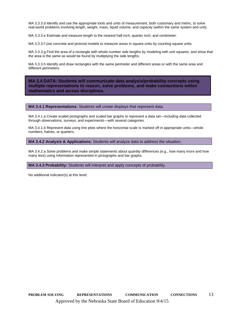MA 3.3.3.d Identify and use the appropriate tools and units of measurement, both customary and metric, to solve real-world problems involving length, weight, mass, liquid volume, and capacity (within the same system and unit).

MA 3.3.3.e Estimate and measure length to the nearest half inch, quarter inch, and centimeter.

MA 3.3.3.f Use concrete and pictorial models to measure areas in square units by counting square units.

MA 3.3.3.g Find the area of a rectangle with whole-number side lengths by modeling with unit squares, and show that the area is the same as would be found by multiplying the side lengths.

MA 3.3.3.h Identify and draw rectangles with the same perimeter and different areas or with the same area and different perimeters.

**MA 3.4 DATA: Students will communicate data analysis/probability concepts using multiple representations to reason, solve problems, and make connections within mathematics and across disciplines.**

**MA 3.4.1 Representations:** Students will create displays that represent data.

MA 3.4.1.a Create scaled pictographs and scaled bar graphs to represent a data set—including data collected through observations, surveys, and experiments—with several categories.

MA 3.4.1.b Represent data using line plots where the horizontal scale is marked off in appropriate units—whole numbers, halves, or quarters.

**MA 3.4.2 Analysis & Applications:** Students will analyze data to address the situation.

MA 3.4.2.a Solve problems and make simple statements about quantity differences (e.g., how many more and how many less) using information represented in pictographs and bar graphs.

**MA 3.4.3 Probability:** Students will interpret and apply concepts of probability.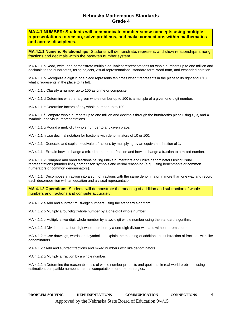**MA 4.1 NUMBER: Students will communicate number sense concepts using multiple representations to reason, solve problems, and make connections within mathematics and across disciplines.**

**MA.4.1.1 Numeric Relationships:** Students will demonstrate, represent, and show relationships among fractions and decimals within the base-ten number system.

MA 4.1.1.a Read, write, and demonstrate multiple equivalent representations for whole numbers up to one million and decimals to the hundredths, using objects, visual representations, standard form, word form, and expanded notation.

MA 4.1.1.b Recognize a digit in one place represents ten times what it represents in the place to its right and 1/10 what it represents in the place to its left.

MA 4.1.1.c Classify a number up to 100 as prime or composite.

MA 4.1.1.d Determine whether a given whole number up to 100 is a multiple of a given one-digit number.

MA 4.1.1.e Determine factors of any whole number up to 100.

MA 4.1.1.f Compare whole numbers up to one million and decimals through the hundredths place using  $>$ ,  $\lt$ , and  $=$ symbols, and visual representations.

MA 4.1.1.g Round a multi-digit whole number to any given place.

MA 4.1.1.h Use decimal notation for fractions with denominators of 10 or 100.

MA 4.1.1.i Generate and explain equivalent fractions by multiplying by an equivalent fraction of 1.

MA 4.1.1.j Explain how to change a mixed number to a fraction and how to change a fraction to a mixed number.

MA 4.1.1.k Compare and order fractions having unlike numerators and unlike denominators using visual representations (number line), comparison symbols and verbal reasoning (e.g., using benchmarks or common numerators or common denominators).

MA 4.1.1.l Decompose a fraction into a sum of fractions with the same denominator in more than one way and record each decomposition with an equation and a visual representation.

**MA 4.1.2 Operations:** Students will demonstrate the meaning of addition and subtraction of whole numbers and fractions and compute accurately.

MA 4.1.2.a Add and subtract multi-digit numbers using the standard algorithm.

MA 4.1.2.b Multiply a four-digit whole number by a one-digit whole number.

MA 4.1.2.c Multiply a two-digit whole number by a two-digit whole number using the standard algorithm.

MA 4.1.2.d Divide up to a four-digit whole number by a one-digit divisor with and without a remainder.

MA 4.1.2.e Use drawings, words, and symbols to explain the meaning of addition and subtraction of fractions with like denominators.

MA 4.1.2.f Add and subtract fractions and mixed numbers with like denominators.

MA 4.1.2.g Multiply a fraction by a whole number.

MA 4.1.2.h Determine the reasonableness of whole number products and quotients in real-world problems using estimation, compatible numbers, mental computations, or other strategies.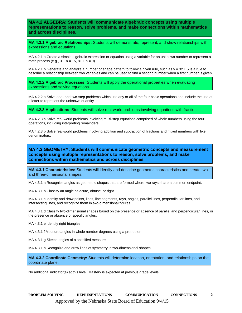**MA 4.2 ALGEBRA: Students will communicate algebraic concepts using multiple representations to reason, solve problems, and make connections within mathematics and across disciplines.**

**MA 4.2.1 Algebraic Relationships:** Students will demonstrate, represent, and show relationships with expressions and equations.

MA 4.2.1.a Create a simple algebraic expression or equation using a variable for an unknown number to represent a math process (e.g.,  $3 + n = 15$ ,  $81 \div n = 9$ ).

MA 4.2.1.b Generate and analyze a number or shape pattern to follow a given rule, such as  $y = 3x + 5$  is a rule to describe a relationship between two variables and can be used to find a second number when a first number is given.

**MA 4.2.2 Algebraic Processes:** Students will apply the operational properties when evaluating expressions and solving equations.

MA 4.2.2.a Solve one- and two-step problems which use any or all of the four basic operations and include the use of a letter to represent the unknown quantity.

**MA 4.2.3 Applications**: Students will solve real-world problems involving equations with fractions.

MA 4.2.3.a Solve real-world problems involving multi-step equations comprised of whole numbers using the four operations, including interpreting remainders.

MA 4.2.3.b Solve real-world problems involving addition and subtraction of fractions and mixed numbers with like denominators.

**MA 4.3 GEOMETRY: Students will communicate geometric concepts and measurement concepts using multiple representations to reason, solve problems, and make connections within mathematics and across disciplines.**

**MA 4.3.1 Characteristics:** Students will identify and describe geometric characteristics and create twoand three-dimensional shapes.

MA 4.3.1.a Recognize angles as geometric shapes that are formed where two rays share a common endpoint.

MA 4.3.1.b Classify an angle as acute, obtuse, or right.

MA 4.3.1.c Identify and draw points, lines, line segments, rays, angles, parallel lines, perpendicular lines, and intersecting lines, and recognize them in two-dimensional figures.

MA 4.3.1.d Classify two-dimensional shapes based on the presence or absence of parallel and perpendicular lines, or the presence or absence of specific angles.

MA 4.3.1.e Identify right triangles.

MA 4.3.1.f Measure angles in whole number degrees using a protractor.

MA 4.3.1.g Sketch angles of a specified measure.

MA 4.3.1.h Recognize and draw lines of symmetry in two-dimensional shapes.

**MA 4.3.2 Coordinate Geometry:** Students will determine location, orientation, and relationships on the coordinate plane.

No additional indicator(s) at this level. Mastery is expected at previous grade levels.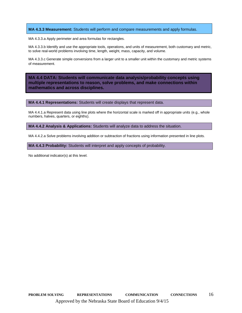#### **MA 4.3.3 Measurement:** Students will perform and compare measurements and apply formulas.

MA 4.3.3.a Apply perimeter and area formulas for rectangles.

MA 4.3.3.b Identify and use the appropriate tools, operations, and units of measurement, both customary and metric, to solve real-world problems involving time, length, weight, mass, capacity, and volume.

MA 4.3.3.c Generate simple conversions from a larger unit to a smaller unit within the customary and metric systems of measurement.

**MA 4.4 DATA: Students will communicate data analysis/probability concepts using multiple representations to reason, solve problems, and make connections within mathematics and across disciplines.**

**MA 4.4.1 Representations:** Students will create displays that represent data.

MA 4.4.1.a Represent data using line plots where the horizontal scale is marked off in appropriate units (e.g., whole numbers, halves, quarters, or eighths).

**MA 4.4.2 Analysis & Applications:** Students will analyze data to address the situation.

MA 4.4.2.a Solve problems involving addition or subtraction of fractions using information presented in line plots.

**MA 4.4.3 Probability:** Students will interpret and apply concepts of probability.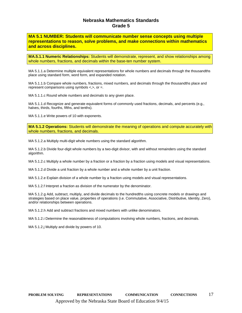**MA 5.1 NUMBER: Students will communicate number sense concepts using multiple representations to reason, solve problems, and make connections within mathematics and across disciplines.**

**MA.5.1.1 Numeric Relationships:** Students will demonstrate, represent, and show relationships among whole numbers, fractions, and decimals within the base-ten number system.

MA 5.1.1.a Determine multiple equivalent representations for whole numbers and decimals through the thousandths place using standard form, word form, and expanded notation.

MA 5.1.1.b Compare whole numbers, fractions, mixed numbers, and decimals through the thousandths place and represent comparisons using symbols <,>, or =.

MA 5.1.1.c Round whole numbers and decimals to any given place.

MA 5.1.1.d Recognize and generate equivalent forms of commonly used fractions, decimals, and percents (e.g., halves, thirds, fourths, fifths, and tenths).

MA 5.1.1.e Write powers of 10 with exponents.

**MA 5.1.2 Operations:** Students will demonstrate the meaning of operations and compute accurately with whole numbers, fractions, and decimals.

MA 5.1.2.a Multiply multi-digit whole numbers using the standard algorithm.

MA 5.1.2.b Divide four-digit whole numbers by a two-digit divisor, with and without remainders using the standard algorithm.

MA 5.1.2.c Multiply a whole number by a fraction or a fraction by a fraction using models and visual representations.

MA 5.1.2.d Divide a unit fraction by a whole number and a whole number by a unit fraction.

MA 5.1.2.e Explain division of a whole number by a fraction using models and visual representations.

MA 5.1.2.f Interpret a fraction as division of the numerator by the denominator.

MA 5.1.2.g Add, subtract, multiply, and divide decimals to the hundredths using concrete models or drawings and strategies based on place value, properties of operations (i.e. Commutative, Associative, Distributive, Identity, Zero), and/or relationships between operations.

MA 5.1.2.h Add and subtract fractions and mixed numbers with unlike denominators.

MA 5.1.2.i Determine the reasonableness of computations involving whole numbers, fractions, and decimals.

MA 5.1.2.j Multiply and divide by powers of 10.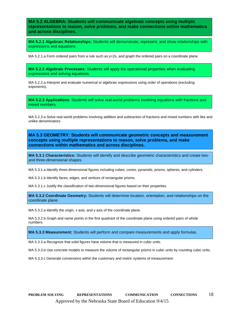**MA 5.2 ALGEBRA: Students will communicate algebraic concepts using multiple representations to reason, solve problems, and make connections within mathematics and across disciplines.**

**MA 5.2.1 Algebraic Relationships:** Students will demonstrate, represent, and show relationships with expressions and equations.

MA 5.2.1.a Form ordered pairs from a rule such as y=2x, and graph the ordered pairs on a coordinate plane.

**MA 5.2.2 Algebraic Processes:** Students will apply the operational properties when evaluating expressions and solving equations.

MA 5.2.2.a Interpret and evaluate numerical or algebraic expressions using order of operations (excluding exponents).

**MA 5.2.3 Applications**: Students will solve real-world problems involving equations with fractions and mixed numbers.

MA 5.2.3.a Solve real-world problems involving addition and subtraction of fractions and mixed numbers with like and unlike denominators.

**MA 5.3 GEOMETRY: Students will communicate geometric concepts and measurement concepts using multiple representations to reason, solve problems, and make connections within mathematics and across disciplines.**

**MA 5.3.1 Characteristics:** Students will identify and describe geometric characteristics and create twoand three-dimensional shapes.

MA 5.3.1.a Identify three-dimensional figures including cubes, cones, pyramids, prisms, spheres, and cylinders.

MA 5.3.1.b Identify faces, edges, and vertices of rectangular prisms.

MA 5.3.1.c Justify the classification of two-dimensional figures based on their properties.

**MA 5.3.2 Coordinate Geometry:** Students will determine location, orientation, and relationships on the coordinate plane.

MA 5.3.2.a Identify the origin, x axis, and y axis of the coordinate plane.

MA 5.3.2.b Graph and name points in the first quadrant of the coordinate plane using ordered pairs of whole numbers.

**MA 5.3.3 Measurement:** Students will perform and compare measurements and apply formulas.

MA 5.3.3.a Recognize that solid figures have volume that is measured in cubic units.

MA 5.3.3.b Use concrete models to measure the volume of rectangular prisms in cubic units by counting cubic units.

MA 5.3.3.c Generate conversions within the customary and metric systems of measurement.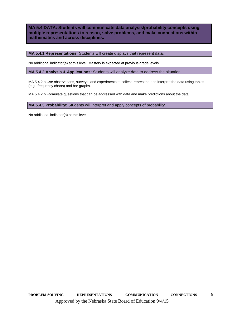**MA 5.4 DATA: Students will communicate data analysis/probability concepts using multiple representations to reason, solve problems, and make connections within mathematics and across disciplines.**

**MA 5.4.1 Representations:** Students will create displays that represent data.

No additional indicator(s) at this level. Mastery is expected at previous grade levels.

**MA 5.4.2 Analysis & Applications:** Students will analyze data to address the situation.

MA 5.4.2.a Use observations, surveys, and experiments to collect, represent, and interpret the data using tables (e.g., frequency charts) and bar graphs.

MA 5.4.2.b Formulate questions that can be addressed with data and make predictions about the data.

**MA 5.4.3 Probability:** Students will interpret and apply concepts of probability.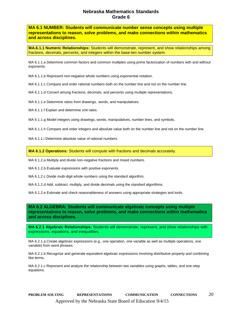**MA 6.1 NUMBER: Students will communicate number sense concepts using multiple representations to reason, solve problems, and make connections within mathematics and across disciplines.**

**MA.6.1.1 Numeric Relationships:** Students will demonstrate, represent, and show relationships among fractions, decimals, percents, and integers within the base-ten number system.

MA 6.1.1.a Determine common factors and common multiples using prime factorization of numbers with and without exponents.

MA 6.1.1.b Represent non-negative whole numbers using exponential notation.

MA 6.1.1.c Compare and order rational numbers both on the number line and not on the number line.

MA 6.1.1.d Convert among fractions, decimals, and percents using multiple representations.

MA 6.1.1.e Determine ratios from drawings, words, and manipulatives.

MA 6.1.1.f Explain and determine unit rates.

MA 6.1.1.g Model integers using drawings, words, manipulatives, number lines, and symbols.

MA 6.1.1.h Compare and order integers and absolute value both on the number line and not on the number line.

MA 6.1.1.i Determine absolute value of rational numbers.

**MA 6.1.2 Operations:** Students will compute with fractions and decimals accurately.

MA 6.1.2.a Multiply and divide non-negative fractions and mixed numbers.

MA 6.1.2.b Evaluate expressions with positive exponents.

MA 6.1.2.c Divide multi-digit whole numbers using the standard algorithm.

MA 6.1.2.d Add, subtract, multiply, and divide decimals using the standard algorithms.

MA 6.1.2.e Estimate and check reasonableness of answers using appropriate strategies and tools.

**MA 6.2 ALGEBRA: Students will communicate algebraic concepts using multiple representations to reason, solve problems, and make connections within mathematics and across disciplines.**

**MA 6.2.1 Algebraic Relationships:** Students will demonstrate, represent, and show relationships with expressions, equations, and inequalities.

MA 6.2.1.a Create algebraic expressions (e.g., one operation, one variable as well as multiple operations, one variable) from word phrases.

MA 6.2.1.b Recognize and generate equivalent algebraic expressions involving distributive property and combining like terms.

MA 6.2.1.c Represent and analyze the relationship between two variables using graphs, tables, and one-step equations.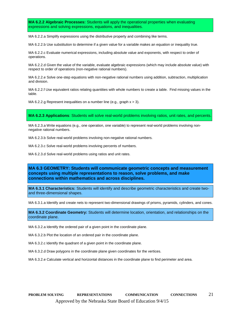**MA 6.2.2 Algebraic Processes:** Students will apply the operational properties when evaluating expressions and solving expressions, equations, and inequalities.

MA 6.2.2.a Simplify expressions using the distributive property and combining like terms.

MA 6.2.2.b Use substitution to determine if a given value for a variable makes an equation or inequality true.

MA 6.2.2.c Evaluate numerical expressions, including absolute value and exponents, with respect to order of operations.

MA 6.2.2.d Given the value of the variable, evaluate algebraic expressions (which may include absolute value) with respect to order of operations (non-negative rational numbers).

MA 6.2.2.e Solve one-step equations with non-negative rational numbers using addition, subtraction, multiplication and division.

MA 6.2.2.f Use equivalent ratios relating quantities with whole numbers to create a table. Find missing values in the table.

MA 6.2.2.g Represent inequalities on a number line (e.g., graph  $x > 3$ ).

**MA 6.2.3 Applications**: Students will solve real-world problems involving ratios, unit rates, and percents.

MA 6.2.3.a Write equations (e.g., one operation, one variable) to represent real-world problems involving nonnegative rational numbers.

MA 6.2.3.b Solve real-world problems involving non-negative rational numbers.

MA 6.2.3.c Solve real-world problems involving percents of numbers.

MA 6.2.3.d Solve real-world problems using ratios and unit rates.

#### **MA 6.3 GEOMETRY: Students will communicate geometric concepts and measurement concepts using multiple representations to reason, solve problems, and make connections within mathematics and across disciplines.**

**MA 6.3.1 Characteristics:** Students will identify and describe geometric characteristics and create twoand three-dimensional shapes.

MA 6.3.1.a Identify and create nets to represent two-dimensional drawings of prisms, pyramids, cylinders, and cones.

**MA 6.3.2 Coordinate Geometry:** Students will determine location, orientation, and relationships on the coordinate plane.

MA 6.3.2.a Identify the ordered pair of a given point in the coordinate plane.

MA 6.3.2.b Plot the location of an ordered pair in the coordinate plane.

MA 6.3.2.c Identify the quadrant of a given point in the coordinate plane.

MA 6.3.2.d Draw polygons in the coordinate plane given coordinates for the vertices.

MA 6.3.2.e Calculate vertical and horizontal distances in the coordinate plane to find perimeter and area.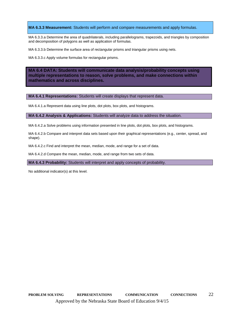#### **MA 6.3.3 Measurement:** Students will perform and compare measurements and apply formulas.

MA 6.3.3.a Determine the area of quadrilaterals, including parallelograms, trapezoids, and triangles by composition and decomposition of polygons as well as application of formulas.

MA 6.3.3.b Determine the surface area of rectangular prisms and triangular prisms using nets.

MA 6.3.3.c Apply volume formulas for rectangular prisms.

**MA 6.4 DATA: Students will communicate data analysis/probability concepts using multiple representations to reason, solve problems, and make connections within mathematics and across disciplines.**

#### **MA 6.4.1 Representations:** Students will create displays that represent data.

MA 6.4.1.a Represent data using line plots, dot plots, box plots, and histograms.

**MA 6.4.2 Analysis & Applications:** Students will analyze data to address the situation.

MA 6.4.2.a Solve problems using information presented in line plots, dot plots, box plots, and histograms.

MA 6.4.2.b Compare and interpret data sets based upon their graphical representations (e.g., center, spread, and shape).

MA 6.4.2.c Find and interpret the mean, median, mode, and range for a set of data.

MA 6.4.2.d Compare the mean, median, mode, and range from two sets of data.

**MA 6.4.3 Probability:** Students will interpret and apply concepts of probability.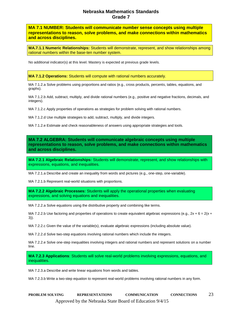**MA 7.1 NUMBER: Students will communicate number sense concepts using multiple representations to reason, solve problems, and make connections within mathematics and across disciplines.**

**MA.7.1.1 Numeric Relationships:** Students will demonstrate, represent, and show relationships among rational numbers within the base-ten number system.

No additional indicator(s) at this level. Mastery is expected at previous grade levels.

**MA 7.1.2 Operations:** Students will compute with rational numbers accurately.

MA 7.1.2.a Solve problems using proportions and ratios (e.g., cross products, percents, tables, equations, and graphs).

MA 7.1.2.b Add, subtract, multiply, and divide rational numbers (e.g., positive and negative fractions, decimals, and integers).

MA 7.1.2.c Apply properties of operations as strategies for problem solving with rational numbers.

MA 7.1.2.d Use multiple strategies to add, subtract, multiply, and divide integers.

MA 7.1.2.e Estimate and check reasonableness of answers using appropriate strategies and tools.

**MA 7.2 ALGEBRA: Students will communicate algebraic concepts using multiple representations to reason, solve problems, and make connections within mathematics and across disciplines.**

**MA 7.2.1 Algebraic Relationships:** Students will demonstrate, represent, and show relationships with expressions, equations, and inequalities.

MA 7.2.1.a Describe and create an inequality from words and pictures (e.g., one-step, one-variable).

MA 7.2.1.b Represent real-world situations with proportions.

**MA 7.2.2 Algebraic Processes:** Students will apply the operational properties when evaluating expressions, and solving equations and inequalities.

MA 7.2.2.a Solve equations using the distributive property and combining like terms.

MA 7.2.2.b Use factoring and properties of operations to create equivalent algebraic expressions (e.g.,  $2x + 6 = 2(x +$ 3)).

MA 7.2.2.c Given the value of the variable(s), evaluate algebraic expressions (including absolute value).

MA 7.2.2.d Solve two-step equations involving rational numbers which include the integers.

MA 7.2.2.e Solve one-step inequalities involving integers and rational numbers and represent solutions on a number line.

**MA 7.2.3 Applications**: Students will solve real-world problems involving expressions, equations, and inequalities.

MA 7.2.3.a Describe and write linear equations from words and tables.

MA 7.2.3.b Write a two-step equation to represent real-world problems involving rational numbers in any form.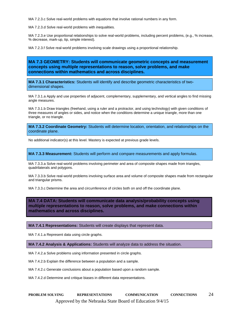MA 7.2.3.c Solve real-world problems with equations that involve rational numbers in any form.

MA 7.2.3.d Solve real-world problems with inequalities.

MA 7.2.3.e Use proportional relationships to solve real-world problems, including percent problems, (e.g., % increase, % decrease, mark-up, tip, simple interest).

MA 7.2.3.f Solve real-world problems involving scale drawings using a proportional relationship.

#### **MA 7.3 GEOMETRY: Students will communicate geometric concepts and measurement concepts using multiple representations to reason, solve problems, and make connections within mathematics and across disciplines.**

**MA 7.3.1 Characteristics:** Students will identify and describe geometric characteristics of twodimensional shapes.

MA 7.3.1.a Apply and use properties of adjacent, complementary, supplementary, and vertical angles to find missing angle measures.

MA 7.3.1.b Draw triangles (freehand, using a ruler and a protractor, and using technology) with given conditions of three measures of angles or sides, and notice when the conditions determine a unique triangle, more than one triangle, or no triangle.

**MA 7.3.2 Coordinate Geometry:** Students will determine location, orientation, and relationships on the coordinate plane.

No additional indicator(s) at this level. Mastery is expected at previous grade levels.

**MA 7.3.3 Measurement:** Students will perform and compare measurements and apply formulas.

MA 7.3.3.a Solve real-world problems involving perimeter and area of composite shapes made from triangles, quadrilaterals and polygons.

MA 7.3.3.b Solve real-world problems involving surface area and volume of composite shapes made from rectangular and triangular prisms.

MA 7.3.3.c Determine the area and circumference of circles both on and off the coordinate plane.

**MA 7.4 DATA: Students will communicate data analysis/probability concepts using multiple representations to reason, solve problems, and make connections within mathematics and across disciplines.**

#### **MA 7.4.1 Representations:** Students will create displays that represent data.

MA 7.4.1.a Represent data using circle graphs.

**MA 7.4.2 Analysis & Applications:** Students will analyze data to address the situation.

MA 7.4.2.a Solve problems using information presented in circle graphs.

MA 7.4.2.b Explain the difference between a population and a sample.

MA 7.4.2.c Generate conclusions about a population based upon a random sample.

MA 7.4.2.d Determine and critique biases in different data representations.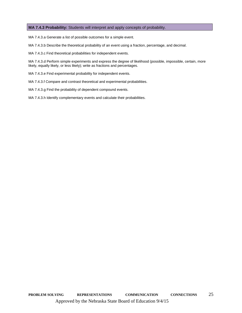#### **MA 7.4.3 Probability:** Students will interpret and apply concepts of probability.

MA 7.4.3.a Generate a list of possible outcomes for a simple event.

MA 7.4.3.b Describe the theoretical probability of an event using a fraction, percentage, and decimal.

MA 7.4.3.c Find theoretical probabilities for independent events.

MA 7.4.3.d Perform simple experiments and express the degree of likelihood (possible, impossible, certain, more likely, equally likely, or less likely); write as fractions and percentages.

MA 7.4.3.e Find experimental probability for independent events.

MA 7.4.3.f Compare and contrast theoretical and experimental probabilities.

MA 7.4.3.g Find the probability of dependent compound events.

MA 7.4.3.h Identify complementary events and calculate their probabilities.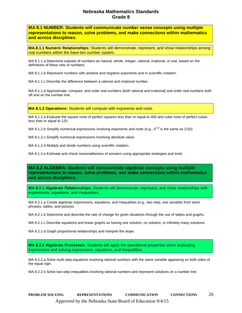**MA 8.1 NUMBER: Students will communicate number sense concepts using multiple representations to reason, solve problems, and make connections within mathematics and across disciplines.**

**MA.8.1.1 Numeric Relationships:** Students will demonstrate, represent, and show relationships among real numbers within the base-ten number system.

MA 8.1.1.a Determine subsets of numbers as natural, whole, integer, rational, irrational, or real, based on the definitions of these sets of numbers.

MA 8.1.1.b Represent numbers with positive and negative exponents and in scientific notation.

MA 8.1.1.c Describe the difference between a rational and irrational number.

MA 8.1.1.d Approximate, compare, and order real numbers (both rational and irrational) and order real numbers both off and on the number line.

**MA 8.1.2 Operations:** Students will compute with exponents and roots.

MA 8.1.2.a Evaluate the square roots of perfect squares less than or equal to 400 and cube roots of perfect cubes less than or equal to 125.

MA 8.1.2.b Simplify numerical expressions involving exponents and roots (e.g.,  $4^{(-2)}$  is the same as 1/16).

MA 8.1.2.c Simplify numerical expressions involving absolute value.

MA 8.1.2.d Multiply and divide numbers using scientific notation.

MA 8.1.2.e Estimate and check reasonableness of answers using appropriate strategies and tools.

**MA 8.2 ALGEBRA: Students will communicate algebraic concepts using multiple representations to reason, solve problems, and make connections within mathematics and across disciplines.**

**MA 8.2.1 Algebraic Relationships:** Students will demonstrate, represent, and show relationships with expressions, equations, and inequalities.

MA 8.2.1.a Create algebraic expressions, equations, and inequalities (e.g., two-step, one variable) from word phrases, tables, and pictures.

MA 8.2.1.b Determine and describe the rate of change for given situations through the use of tables and graphs.

MA 8.2.1.c Describe equations and linear graphs as having one solution, no solution, or infinitely many solutions.

MA 8.2.1.d Graph proportional relationships and interpret the slope.

**MA 8.2.2 Algebraic Processes:** Students will apply the operational properties when evaluating expressions and solving expressions, equations, and inequalities.

MA 8.2.2.a Solve multi-step equations involving rational numbers with the same variable appearing on both sides of the equal sign.

MA 8.2.2.b Solve two-step inequalities involving rational numbers and represent solutions on a number line.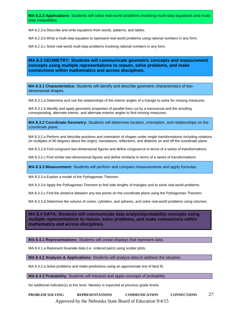**MA 8.2.3 Applications**: Students will solve real-world problems involving multi-step equations and multistep inequalities.

MA 8.2.3.a Describe and write equations from words, patterns, and tables.

MA 8.2.3.b Write a multi-step equation to represent real-world problems using rational numbers in any form.

MA 8.2.3.c Solve real-world multi-step problems involving rational numbers in any form.

**MA 8.3 GEOMETRY: Students will communicate geometric concepts and measurement concepts using multiple representations to reason, solve problems, and make connections within mathematics and across disciplines.**

**MA 8.3.1 Characteristics:** Students will identify and describe geometric characteristics of twodimensional shapes.

MA 8.3.1.a Determine and use the relationships of the interior angles of a triangle to solve for missing measures.

MA 8.3.1.b Identify and apply geometric properties of parallel lines cut by a transversal and the resulting corresponding, alternate interior, and alternate exterior angles to find missing measures.

**MA 8.3.2 Coordinate Geometry:** Students will determine location, orientation, and relationships on the coordinate plane.

MA 8.3.2.a Perform and describe positions and orientation of shapes under single transformations including rotations (in multiples of 90 degrees about the origin), translations, reflections, and dilations on and off the coordinate plane.

MA 8.3.2.b Find congruent two-dimensional figures and define congruence in terms of a series of transformations.

MA 8.3.2.c Find similar two-dimensional figures and define similarity in terms of a series of transformations.

**MA 8.3.3 Measurement:** Students will perform and compare measurements and apply formulas.

MA 8.3.3.a Explain a model of the Pythagorean Theorem.

MA 8.3.3.b Apply the Pythagorean Theorem to find side lengths of triangles and to solve real-world problems.

MA 8.3.3.c Find the distance between any two points on the coordinate plane using the Pythagorean Theorem.

MA 8.3.3.d Determine the volume of cones, cylinders, and spheres, and solve real-world problems using volumes.

**MA 8.4 DATA: Students will communicate data analysis/probability concepts using multiple representations to reason, solve problems, and make connections within mathematics and across disciplines.**

**MA 8.4.1 Representations:** Students will create displays that represent data.

MA 8.4.1.a Represent bivariate data (i.e. ordered pairs) using scatter plots.

**MA 8.4.2 Analysis & Applications:** Students will analyze data to address the situation.

MA 8.4.2.a Solve problems and make predictions using an approximate line of best fit.

**MA 8.4.3 Probability:** Students will interpret and apply concepts of probability.

No additional indicator(s) at this level. Mastery is expected at previous grade levels.

**PROBLEM SOLVING REPRESENTATIONS COMMUNICATION CONNECTIONS** 27 Approved by the Nebraska State Board of Education 9/4/15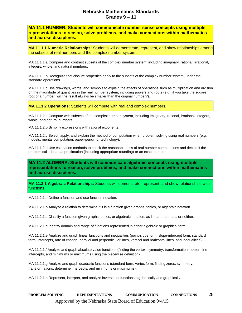**MA 11.1 NUMBER: Students will communicate number sense concepts using multiple representations to reason, solve problems, and make connections within mathematics and across disciplines.**

**MA.11.1.1 Numeric Relationships:** Students will demonstrate, represent, and show relationships among the subsets of real numbers and the complex number system.

MA 11.1.1.a Compare and contrast subsets of the complex number system, including imaginary, rational, irrational, integers, whole, and natural numbers.

MA 11.1.1.b Recognize that closure properties apply to the subsets of the complex number system, under the standard operations.

MA 11.1.1.c Use drawings, words, and symbols to explain the effects of operations such as multiplication and division on the magnitude of quantities in the real number system, including powers and roots (e.g., if you take the square root of a number, will the result always be smaller than the original number?).

**MA 11.1.2 Operations:** Students will compute with real and complex numbers.

MA 11.1.2.a Compute with subsets of the complex number system, including imaginary, rational, irrational, integers, whole, and natural numbers.

MA 11.1.2.b Simplify expressions with rational exponents.

MA 11.1.2.c Select, apply, and explain the method of computation when problem solving using real numbers (e.g., models, mental computation, paper-pencil, or technology).

MA 11.1.2.d Use estimation methods to check the reasonableness of real number computations and decide if the problem calls for an approximation (including appropriate rounding) or an exact number.

**MA 11.2 ALGEBRA: Students will communicate algebraic concepts using multiple representations to reason, solve problems, and make connections within mathematics and across disciplines.**

**MA 11.2.1 Algebraic Relationships:** Students will demonstrate, represent, and show relationships with functions.

MA 11.2.1.a Define a function and use function notation.

MA 11.2.1.b Analyze a relation to determine if it is a function given graphs, tables, or algebraic notation.

MA 11.2.1.c Classify a function given graphs, tables, or algebraic notation, as linear, quadratic, or neither.

MA 11.2.1.d Identify domain and range of functions represented in either algebraic or graphical form.

MA 11.2.1.e Analyze and graph linear functions and inequalities (point-slope form, slope-intercept form, standard form, intercepts, rate of change, parallel and perpendicular lines, vertical and horizontal lines, and inequalities).

MA 11.2.1.f Analyze and graph absolute value functions (finding the vertex, symmetry, transformations, determine intercepts, and minimums or maximums using the piecewise definition).

MA 11.2.1.g Analyze and graph quadratic functions (standard form, vertex form, finding zeros, symmetry, transformations, determine intercepts, and minimums or maximums).

MA 11.2.1.h Represent, interpret, and analyze inverses of functions algebraically and graphically.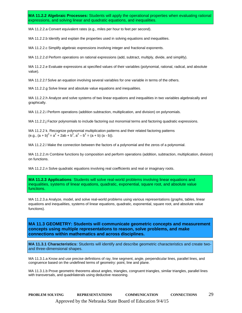**MA 11.2.2 Algebraic Processes:** Students will apply the operational properties when evaluating rational expressions, and solving linear and quadratic equations, and inequalities.

MA 11.2.2.a Convert equivalent rates (e.g., miles per hour to feet per second).

MA 11.2.2.b Identify and explain the properties used in solving equations and inequalities.

MA 11.2.2.c Simplify algebraic expressions involving integer and fractional exponents.

MA 11.2.2.d Perform operations on rational expressions (add, subtract, multiply, divide, and simplify).

MA 11.2.2.e Evaluate expressions at specified values of their variables (polynomial, rational, radical, and absolute value).

MA 11.2.2.f Solve an equation involving several variables for one variable in terms of the others.

MA 11.2.2.g Solve linear and absolute value equations and inequalities.

MA 11.2.2.h Analyze and solve systems of two linear equations and inequalities in two variables algebraically and graphically.

MA 11.2.2.i Perform operations (addition subtraction, multiplication, and division) on polynomials.

MA 11.2.2.j Factor polynomials to include factoring out monomial terms and factoring quadratic expressions.

MA 11.2.2 k. Recognize polynomial multiplication patterns and their related factoring patterns (e.g.,  $(a + b)^2 = a^2 + 2ab + b^2$ ,  $a^2 - b^2 = (a + b) (a - b)$ ).

MA 11.2.2.l Make the connection between the factors of a polynomial and the zeros of a polynomial.

MA 11.2.2.m Combine functions by composition and perform operations (addition, subtraction, multiplication, division) on functions.

MA 11.2.2.n Solve quadratic equations involving real coefficients and real or imaginary roots.

**MA 11.2.3 Applications**: Students will solve real-world problems involving linear equations and inequalities, systems of linear equations, quadratic, exponential, square root, and absolute value functions.

MA 11.2.3.a Analyze, model, and solve real-world problems using various representations (graphs, tables, linear equations and inequalities, systems of linear equations, quadratic, exponential, square root, and absolute value functions).

**MA 11.3 GEOMETRY: Students will communicate geometric concepts and measurement concepts using multiple representations to reason, solve problems, and make connections within mathematics and across disciplines.**

**MA 11.3.1 Characteristics:** Students will identify and describe geometric characteristics and create twoand three-dimensional shapes.

MA 11.3.1.a Know and use precise definitions of ray, line segment, angle, perpendicular lines, parallel lines, and congruence based on the undefined terms of geometry: point, line and plane.

MA 11.3.1.b Prove geometric theorems about angles, triangles, congruent triangles, similar triangles, parallel lines with transversals, and quadrilaterals using deductive reasoning.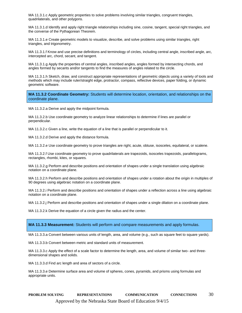MA 11.3.1.c Apply geometric properties to solve problems involving similar triangles, congruent triangles, quadrilaterals, and other polygons.

MA 11.3.1.d Identify and apply right triangle relationships including sine, cosine, tangent, special right triangles, and the converse of the Pythagorean Theorem.

MA 11.3.1.e Create geometric models to visualize, describe, and solve problems using similar triangles, right triangles, and trigonometry.

MA 11.3.1.f Know and use precise definitions and terminology of circles, including central angle, inscribed angle, arc, intercepted arc, chord, secant, and tangent.

MA 11.3.1.g Apply the properties of central angles, inscribed angles, angles formed by intersecting chords, and angles formed by secants and/or tangents to find the measures of angles related to the circle.

MA 11.3.1.h Sketch, draw, and construct appropriate representations of geometric objects using a variety of tools and methods which may include ruler/straight edge, protractor, compass, reflective devices, paper folding, or dynamic geometric software.

**MA 11.3.2 Coordinate Geometry:** Students will determine location, orientation, and relationships on the coordinate plane.

MA 11.3.2.a Derive and apply the midpoint formula.

MA 11.3.2.b Use coordinate geometry to analyze linear relationships to determine if lines are parallel or perpendicular.

MA 11.3.2.c Given a line, write the equation of a line that is parallel or perpendicular to it.

MA 11.3.2.d Derive and apply the distance formula.

MA 11.3.2.e Use coordinate geometry to prove triangles are right, acute, obtuse, isosceles, equilateral, or scalene.

MA 11.3.2.f Use coordinate geometry to prove quadrilaterals are trapezoids, isosceles trapezoids, parallelograms, rectangles, rhombi, kites, or squares.

MA 11.3.2.g Perform and describe positions and orientation of shapes under a single translation using algebraic notation on a coordinate plane.

MA 11.3.2.h Perform and describe positions and orientation of shapes under a rotation about the origin in multiples of 90 degrees using algebraic notation on a coordinate plane.

MA 11.3.2.i Perform and describe positions and orientation of shapes under a reflection across a line using algebraic notation on a coordinate plane.

MA 11.3.2.j Perform and describe positions and orientation of shapes under a single dilation on a coordinate plane.

MA 11.3.2.k Derive the equation of a circle given the radius and the center.

**MA 11.3.3 Measurement:** Students will perform and compare measurements and apply formulas.

MA 11.3.3.a Convert between various units of length, area, and volume (e.g., such as square feet to square yards).

MA 11.3.3.b Convert between metric and standard units of measurement.

MA 11.3.3.c Apply the effect of a scale factor to determine the length, area, and volume of similar two- and threedimensional shapes and solids.

MA 11.3.3.d Find arc length and area of sectors of a circle.

MA 11.3.3.e Determine surface area and volume of spheres, cones, pyramids, and prisms using formulas and appropriate units.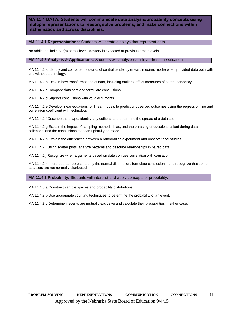**MA 11.4 DATA: Students will communicate data analysis/probability concepts using multiple representations to reason, solve problems, and make connections within mathematics and across disciplines.**

#### **MA 11.4.1 Representations:** Students will create displays that represent data.

No additional indicator(s) at this level. Mastery is expected at previous grade levels.

**MA 11.4.2 Analysis & Applications:** Students will analyze data to address the situation.

MA 11.4.2.a Identify and compute measures of central tendency (mean, median, mode) when provided data both with and without technology.

MA 11.4.2.b Explain how transformations of data, including outliers, affect measures of central tendency.

MA 11.4.2.c Compare data sets and formulate conclusions.

MA 11.4.2.d Support conclusions with valid arguments.

MA 11.4.2.e Develop linear equations for linear models to predict unobserved outcomes using the regression line and correlation coefficient with technology.

MA 11.4.2.f Describe the shape, identify any outliers, and determine the spread of a data set.

MA 11.4.2.g Explain the impact of sampling methods, bias, and the phrasing of questions asked during data collection, and the conclusions that can rightfully be made.

MA 11.4.2.h Explain the differences between a randomized experiment and observational studies.

MA 11.4.2.i Using scatter plots, analyze patterns and describe relationships in paired data.

MA 11.4.2.j Recognize when arguments based on data confuse correlation with causation.

MA 11.4.2.k Interpret data represented by the normal distribution, formulate conclusions, and recognize that some data sets are not normally distributed.

#### **MA 11.4.3 Probability:** Students will interpret and apply concepts of probability.

MA 11.4.3.a Construct sample spaces and probability distributions.

MA 11.4.3.b Use appropriate counting techniques to determine the probability of an event.

MA 11.4.3.c Determine if events are mutually exclusive and calculate their probabilities in either case.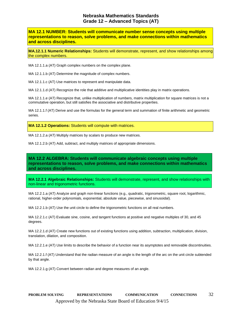## **Nebraska Mathematics Standards Grade 12 – Advanced Topics (AT)**

**MA 12.1 NUMBER: Students will communicate number sense concepts using multiple representations to reason, solve problems, and make connections within mathematics and across disciplines.**

**MA.12.1.1 Numeric Relationships:** Students will demonstrate, represent, and show relationships among the complex numbers.

MA 12.1.1.a (AT) Graph complex numbers on the complex plane.

MA 12.1.1.b (AT) Determine the magnitude of complex numbers.

MA 12.1.1.c (AT) Use matrices to represent and manipulate data.

MA 12.1.1.d (AT) Recognize the role that additive and multiplicative identities play in matrix operations.

MA 12.1.1.e (AT) Recognize that, unlike multiplication of numbers, matrix multiplication for square matrices is not a commutative operation, but still satisfies the associative and distributive properties.

MA 12.1.1.f (AT) Derive and use the formulas for the general term and summation of finite arithmetic and geometric series.

**MA 12.1.2 Operations:** Students will compute with matrices.

MA 12.1.2.a (AT) Multiply matrices by scalars to produce new matrices.

MA 12.1.2.b (AT) Add, subtract, and multiply matrices of appropriate dimensions.

**MA 12.2 ALGEBRA: Students will communicate algebraic concepts using multiple representations to reason, solve problems, and make connections within mathematics and across disciplines.**

**MA 12.2.1 Algebraic Relationships:** Students will demonstrate, represent, and show relationships with non-linear and trigonometric functions.

MA 12.2.1.a (AT) Analyze and graph non-linear functions (e.g., quadratic, trigonometric, square root, logarithmic, rational, higher-order polynomials, exponential, absolute value, piecewise, and sinusoidal).

MA 12.2.1.b (AT) Use the unit circle to define the trigonometric functions on all real numbers.

MA 12.2.1.c (AT) Evaluate sine, cosine, and tangent functions at positive and negative multiples of 30, and 45 degrees.

MA 12.2.1.d (AT) Create new functions out of existing functions using addition, subtraction, multiplication, division, translation, dilation, and composition.

MA 12.2.1.e (AT) Use limits to describe the behavior of a function near its asymptotes and removable discontinuities.

MA 12.2.1.f (AT) Understand that the radian measure of an angle is the length of the arc on the unit circle subtended by that angle.

MA 12.2.1.g (AT) Convert between radian and degree measures of an angle.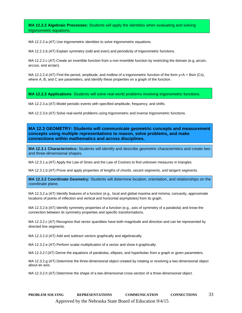**MA 12.2.2 Algebraic Processes:** Students will apply the identities when evaluating and solving trigonometric equations.

MA 12.2.2.a (AT) Use trigonometric identities to solve trigonometric equations.

MA 12.2.2.b (AT) Explain symmetry (odd and even) and periodicity of trigonometric functions.

MA 12.2.2.c (AT) Create an invertible function from a non-invertible function by restricting the domain (e.g.,arcsin, arccos, and arctan).

MA 12.2.2.d (AT) Find the period, amplitude, and midline of a trigonometric function of the form  $y=$ A + Bsin (Cx), where A, B, and C are parameters, and identify these properties on a graph of the function.

**MA 12.2.3 Applications**: Students will solve real-world problems involving trigonometric functions.

MA 12.2.3.a (AT) Model periodic events with specified amplitude, frequency, and shifts.

MA 12.2.3.b (AT) Solve real-world problems using trigonometric and inverse trigonometric functions.

**MA 12.3 GEOMETRY: Students will communicate geometric concepts and measurement concepts using multiple representations to reason, solve problems, and make connections within mathematics and across disciplines.**

**MA 12.3.1 Characteristics:** Students will identify and describe geometric characteristics and create twoand three-dimensional shapes.

MA 12.3.1.a (AT) Apply the Law of Sines and the Law of Cosines to find unknown measures in triangles.

MA 12.3.1.b (AT) Prove and apply properties of lengths of chords, secant segments, and tangent segments.

**MA 12.3.2 Coordinate Geometry:** Students will determine location, orientation, and relationships on the coordinate plane.

MA 12.3.2.a (AT) Identify features of a function (e.g., local and global maxima and minima, concavity, approximate locations of points of inflection and vertical and horizontal asymptotes) from its graph.

MA 12.3.2.b (AT) Identify symmetry properties of a function (e.g., axis of symmetry of a parabola) and know the connection between its symmetry properties and specific transformations.

MA 12.3.2.c (AT) Recognize that vector quantities have both magnitude and direction and can be represented by directed line segments.

MA 12.3.2.d (AT) Add and subtract vectors graphically and algebraically.

MA 12.3.2.e (AT) Perform scalar multiplication of a vector and show it graphically.

MA 12.3.2.f (AT) Derive the equations of parabolas, ellipses, and hyperbolas from a graph or given parameters.

MA 12.3.2.g (AT) Determine the three-dimensional object created by rotating or revolving a two-dimensional object about an axis.

MA 12.3.2.h (AT) Determine the shape of a two-dimensional cross-section of a three-dimensional object.